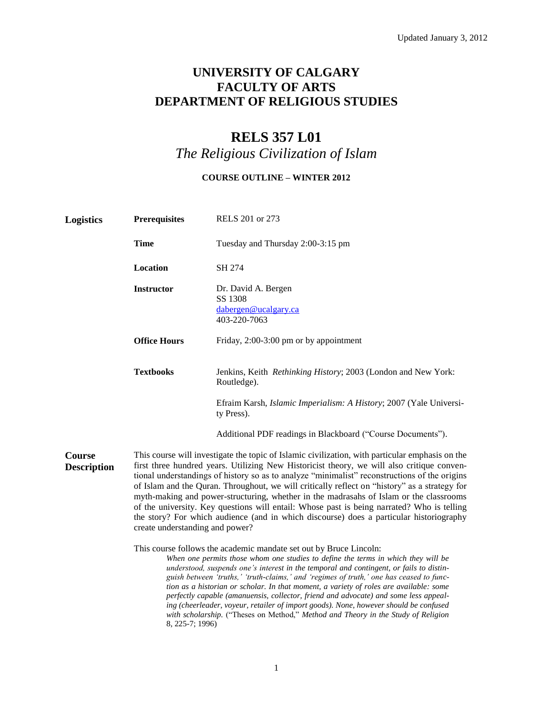## **UNIVERSITY OF CALGARY FACULTY OF ARTS DEPARTMENT OF RELIGIOUS STUDIES**

# **RELS 357 L01**

*The Religious Civilization of Islam*

## **COURSE OUTLINE – WINTER 2012**

| <b>Logistics</b>                    | <b>Prerequisites</b>                                                                                                                                                                                                                                                                                                                                                                                                                                                                                                                                                                                                                                                                                                  | RELS 201 or 273                                                                                                                                                                                                                                                                                                                                                                                                                                                                                                                                                                                                                                                                                               |  |  |  |  |
|-------------------------------------|-----------------------------------------------------------------------------------------------------------------------------------------------------------------------------------------------------------------------------------------------------------------------------------------------------------------------------------------------------------------------------------------------------------------------------------------------------------------------------------------------------------------------------------------------------------------------------------------------------------------------------------------------------------------------------------------------------------------------|---------------------------------------------------------------------------------------------------------------------------------------------------------------------------------------------------------------------------------------------------------------------------------------------------------------------------------------------------------------------------------------------------------------------------------------------------------------------------------------------------------------------------------------------------------------------------------------------------------------------------------------------------------------------------------------------------------------|--|--|--|--|
|                                     | <b>Time</b>                                                                                                                                                                                                                                                                                                                                                                                                                                                                                                                                                                                                                                                                                                           | Tuesday and Thursday 2:00-3:15 pm                                                                                                                                                                                                                                                                                                                                                                                                                                                                                                                                                                                                                                                                             |  |  |  |  |
|                                     | Location                                                                                                                                                                                                                                                                                                                                                                                                                                                                                                                                                                                                                                                                                                              | SH 274                                                                                                                                                                                                                                                                                                                                                                                                                                                                                                                                                                                                                                                                                                        |  |  |  |  |
|                                     | <b>Instructor</b>                                                                                                                                                                                                                                                                                                                                                                                                                                                                                                                                                                                                                                                                                                     | Dr. David A. Bergen<br>SS 1308<br>dabergen@ucalgary.ca<br>403-220-7063                                                                                                                                                                                                                                                                                                                                                                                                                                                                                                                                                                                                                                        |  |  |  |  |
|                                     | <b>Office Hours</b>                                                                                                                                                                                                                                                                                                                                                                                                                                                                                                                                                                                                                                                                                                   | Friday, 2:00-3:00 pm or by appointment                                                                                                                                                                                                                                                                                                                                                                                                                                                                                                                                                                                                                                                                        |  |  |  |  |
|                                     | <b>Textbooks</b>                                                                                                                                                                                                                                                                                                                                                                                                                                                                                                                                                                                                                                                                                                      | Jenkins, Keith Rethinking History; 2003 (London and New York:<br>Routledge).                                                                                                                                                                                                                                                                                                                                                                                                                                                                                                                                                                                                                                  |  |  |  |  |
|                                     |                                                                                                                                                                                                                                                                                                                                                                                                                                                                                                                                                                                                                                                                                                                       | Efraim Karsh, Islamic Imperialism: A History; 2007 (Yale Universi-<br>ty Press).                                                                                                                                                                                                                                                                                                                                                                                                                                                                                                                                                                                                                              |  |  |  |  |
|                                     |                                                                                                                                                                                                                                                                                                                                                                                                                                                                                                                                                                                                                                                                                                                       | Additional PDF readings in Blackboard ("Course Documents").                                                                                                                                                                                                                                                                                                                                                                                                                                                                                                                                                                                                                                                   |  |  |  |  |
| <b>Course</b><br><b>Description</b> | This course will investigate the topic of Islamic civilization, with particular emphasis on the<br>first three hundred years. Utilizing New Historicist theory, we will also critique conven-<br>tional understandings of history so as to analyze "minimalist" reconstructions of the origins<br>of Islam and the Quran. Throughout, we will critically reflect on "history" as a strategy for<br>myth-making and power-structuring, whether in the madrasahs of Islam or the classrooms<br>of the university. Key questions will entail: Whose past is being narrated? Who is telling<br>the story? For which audience (and in which discourse) does a particular historiography<br>create understanding and power? |                                                                                                                                                                                                                                                                                                                                                                                                                                                                                                                                                                                                                                                                                                               |  |  |  |  |
|                                     | 8, 225-7; 1996)                                                                                                                                                                                                                                                                                                                                                                                                                                                                                                                                                                                                                                                                                                       | This course follows the academic mandate set out by Bruce Lincoln:<br>When one permits those whom one studies to define the terms in which they will be<br>understood, suspends one's interest in the temporal and contingent, or fails to distin-<br>guish between 'truths,' 'truth-claims,' and 'regimes of truth,' one has ceased to func-<br>tion as a historian or scholar. In that moment, a variety of roles are available: some<br>perfectly capable (amanuensis, collector, friend and advocate) and some less appeal-<br>ing (cheerleader, voyeur, retailer of import goods). None, however should be confused<br>with scholarship. ("Theses on Method," Method and Theory in the Study of Religion |  |  |  |  |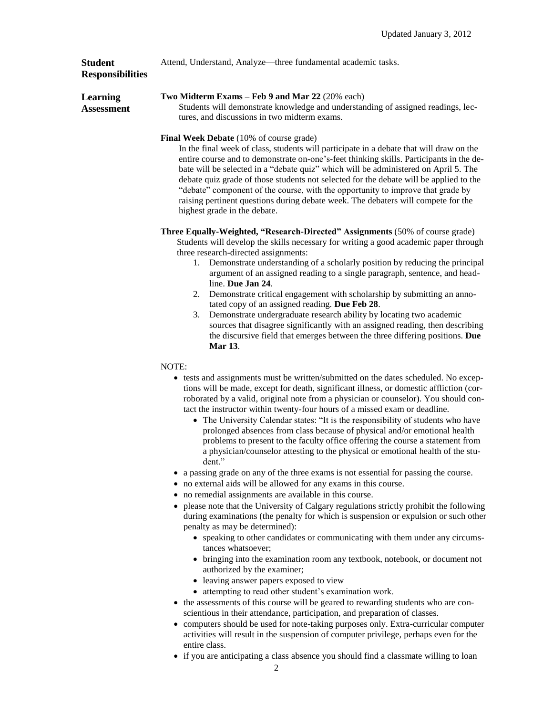Attend, Understand, Analyze—three fundamental academic tasks.

### **Student Responsibilities**

**Learning Assessment**

#### **Two Midterm Exams – Feb 9 and Mar 22** (20% each)

Students will demonstrate knowledge and understanding of assigned readings, lectures, and discussions in two midterm exams.

#### **Final Week Debate** (10% of course grade)

In the final week of class, students will participate in a debate that will draw on the entire course and to demonstrate on-one's-feet thinking skills. Participants in the debate will be selected in a "debate quiz" which will be administered on April 5. The debate quiz grade of those students not selected for the debate will be applied to the "debate" component of the course, with the opportunity to improve that grade by raising pertinent questions during debate week. The debaters will compete for the highest grade in the debate.

**Three Equally-Weighted, "Research-Directed" Assignments** (50% of course grade) Students will develop the skills necessary for writing a good academic paper through three research-directed assignments:

- 1. Demonstrate understanding of a scholarly position by reducing the principal argument of an assigned reading to a single paragraph, sentence, and headline. **Due Jan 24**.
- 2. Demonstrate critical engagement with scholarship by submitting an annotated copy of an assigned reading. **Due Feb 28**.
- 3. Demonstrate undergraduate research ability by locating two academic sources that disagree significantly with an assigned reading, then describing the discursive field that emerges between the three differing positions. **Due Mar 13**.

#### NOTE:

- tests and assignments must be written/submitted on the dates scheduled. No exceptions will be made, except for death, significant illness, or domestic affliction (corroborated by a valid, original note from a physician or counselor). You should contact the instructor within twenty-four hours of a missed exam or deadline.
	- The University Calendar states: "It is the responsibility of students who have prolonged absences from class because of physical and/or emotional health problems to present to the faculty office offering the course a statement from a physician/counselor attesting to the physical or emotional health of the student."
- a passing grade on any of the three exams is not essential for passing the course.
- no external aids will be allowed for any exams in this course.
- no remedial assignments are available in this course.
- please note that the University of Calgary regulations strictly prohibit the following during examinations (the penalty for which is suspension or expulsion or such other penalty as may be determined):
	- speaking to other candidates or communicating with them under any circumstances whatsoever;
	- bringing into the examination room any textbook, notebook, or document not authorized by the examiner;
	- leaving answer papers exposed to view
	- attempting to read other student's examination work.
- the assessments of this course will be geared to rewarding students who are conscientious in their attendance, participation, and preparation of classes.
- computers should be used for note-taking purposes only. Extra-curricular computer activities will result in the suspension of computer privilege, perhaps even for the entire class.
- if you are anticipating a class absence you should find a classmate willing to loan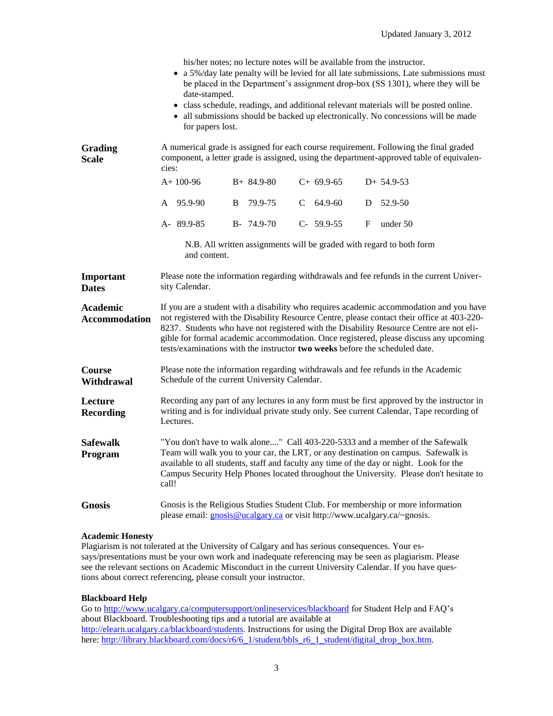|                                         | date-stamped.<br>for papers lost.                                                                                                                                                                                                                                                                                                                                                                                                                         |                 |   | his/her notes; no lecture notes will be available from the instructor. |   | • a 5%/day late penalty will be levied for all late submissions. Late submissions must<br>be placed in the Department's assignment drop-box (SS 1301), where they will be<br>• class schedule, readings, and additional relevant materials will be posted online.<br>• all submissions should be backed up electronically. No concessions will be made |  |  |
|-----------------------------------------|-----------------------------------------------------------------------------------------------------------------------------------------------------------------------------------------------------------------------------------------------------------------------------------------------------------------------------------------------------------------------------------------------------------------------------------------------------------|-----------------|---|------------------------------------------------------------------------|---|--------------------------------------------------------------------------------------------------------------------------------------------------------------------------------------------------------------------------------------------------------------------------------------------------------------------------------------------------------|--|--|
| Grading<br><b>Scale</b>                 | A numerical grade is assigned for each course requirement. Following the final graded<br>component, a letter grade is assigned, using the department-approved table of equivalen-<br>cies:                                                                                                                                                                                                                                                                |                 |   |                                                                        |   |                                                                                                                                                                                                                                                                                                                                                        |  |  |
|                                         | $A+100-96$                                                                                                                                                                                                                                                                                                                                                                                                                                                | $B+ 84.9-80$    |   | $C+69.9-65$                                                            |   | $D+ 54.9-53$                                                                                                                                                                                                                                                                                                                                           |  |  |
|                                         | 95.9-90<br>A                                                                                                                                                                                                                                                                                                                                                                                                                                              | B<br>79.9-75    | C | 64.9-60                                                                | D | 52.9-50                                                                                                                                                                                                                                                                                                                                                |  |  |
|                                         | A- 89.9-85                                                                                                                                                                                                                                                                                                                                                                                                                                                | $B - 74.9 - 70$ |   | $C-59.9-55$                                                            | F | under 50                                                                                                                                                                                                                                                                                                                                               |  |  |
|                                         | and content.                                                                                                                                                                                                                                                                                                                                                                                                                                              |                 |   |                                                                        |   | N.B. All written assignments will be graded with regard to both form                                                                                                                                                                                                                                                                                   |  |  |
| Important<br><b>Dates</b>               | Please note the information regarding withdrawals and fee refunds in the current Univer-<br>sity Calendar.                                                                                                                                                                                                                                                                                                                                                |                 |   |                                                                        |   |                                                                                                                                                                                                                                                                                                                                                        |  |  |
| <b>Academic</b><br><b>Accommodation</b> | If you are a student with a disability who requires academic accommodation and you have<br>not registered with the Disability Resource Centre, please contact their office at 403-220-<br>8237. Students who have not registered with the Disability Resource Centre are not eli-<br>gible for formal academic accommodation. Once registered, please discuss any upcoming<br>tests/examinations with the instructor two weeks before the scheduled date. |                 |   |                                                                        |   |                                                                                                                                                                                                                                                                                                                                                        |  |  |
| <b>Course</b><br>Withdrawal             | Please note the information regarding withdrawals and fee refunds in the Academic<br>Schedule of the current University Calendar.                                                                                                                                                                                                                                                                                                                         |                 |   |                                                                        |   |                                                                                                                                                                                                                                                                                                                                                        |  |  |
| Lecture<br><b>Recording</b>             | Recording any part of any lectures in any form must be first approved by the instructor in<br>writing and is for individual private study only. See current Calendar, Tape recording of<br>Lectures.                                                                                                                                                                                                                                                      |                 |   |                                                                        |   |                                                                                                                                                                                                                                                                                                                                                        |  |  |
|                                         | "You don't have to walk alone" Call 403-220-5333 and a member of the Safewalk<br>Team will walk you to your car, the LRT, or any destination on campus. Safewalk is<br>available to all students, staff and faculty any time of the day or night. Look for the<br>Campus Security Help Phones located throughout the University. Please don't hesitate to<br>call!                                                                                        |                 |   |                                                                        |   |                                                                                                                                                                                                                                                                                                                                                        |  |  |
| <b>Safewalk</b><br>Program              |                                                                                                                                                                                                                                                                                                                                                                                                                                                           |                 |   |                                                                        |   |                                                                                                                                                                                                                                                                                                                                                        |  |  |

#### **Academic Honesty**

Plagiarism is not tolerated at the University of Calgary and has serious consequences. Your essays/presentations must be your own work and inadequate referencing may be seen as plagiarism. Please see the relevant sections on Academic Misconduct in the current University Calendar. If you have questions about correct referencing, please consult your instructor.

#### **Blackboard Help**

Go to<http://www.ucalgary.ca/computersupport/onlineservices/blackboard> for Student Help and FAQ's about Blackboard. Troubleshooting tips and a tutorial are available at [http://elearn.ucalgary.ca/blackboard/students.](http://elearn.ucalgary.ca/blackboard/students) Instructions for using the Digital Drop Box are available here: [http://library.blackboard.com/docs/r6/6\\_1/student/bbls\\_r6\\_1\\_student/digital\\_drop\\_box.htm.](http://library.blackboard.com/docs/r6/6_1/student/bbls_r6_1_student/digital_drop_box.htm)